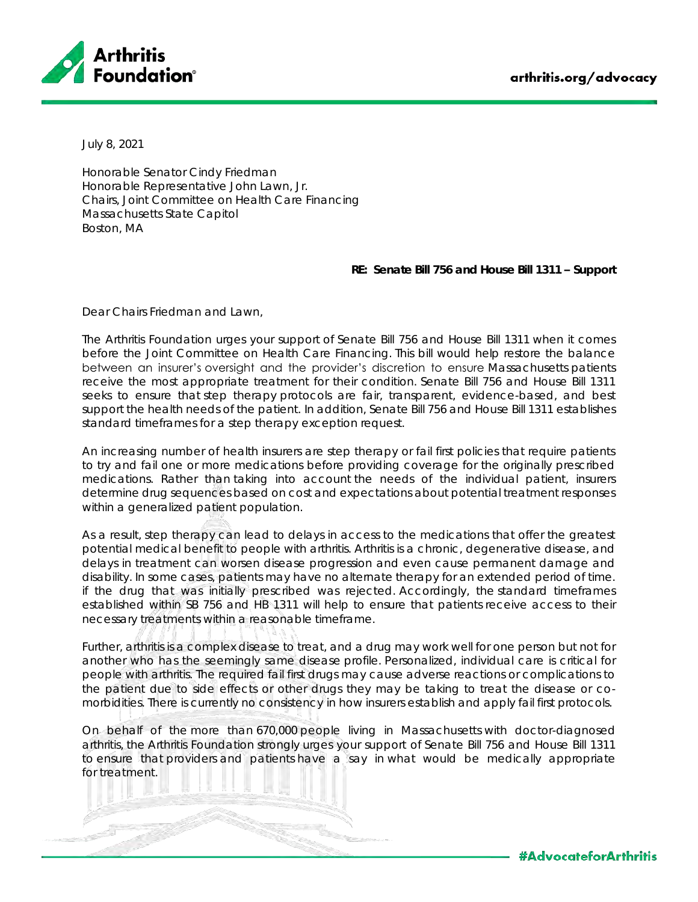

July 8, 2021

Honorable Senator Cindy Friedman Honorable Representative John Lawn, Jr. Chairs, Joint Committee on Health Care Financing Massachusetts State Capitol Boston, MA

**RE: Senate Bill 756 and House Bill 1311 – Support**

Dear Chairs Friedman and Lawn,

The Arthritis Foundation urges your support of Senate Bill 756 and House Bill 1311 when it comes before the Joint Committee on Health Care Financing. This bill would help restore the balance between an insurer's oversight and the provider's discretion to ensure Massachusetts patients receive the most appropriate treatment for their condition. Senate Bill 756 and House Bill 1311 seeks to ensure that step therapy protocols are fair, transparent, evidence-based, and best support the health needs of the patient. In addition, Senate Bill 756 and House Bill 1311 establishes standard timeframes for a step therapy exception request.

An increasing number of health insurers are step therapy or fail first policies that require patients to try and fail one or more medications before providing coverage for the originally prescribed medications. Rather than taking into account the needs of the individual patient, insurers determine drug sequences based on cost and expectations about potential treatment responses within a generalized patient population.

As a result, step therapy can lead to delays in access to the medications that offer the greatest potential medical benefit to people with arthritis. Arthritis is a chronic, degenerative disease, and delays in treatment can worsen disease progression and even cause permanent damage and disability. In some cases, patients may have no alternate therapy for an extended period of time. if the drug that was initially prescribed was rejected. Accordingly, the standard timeframes established within SB 756 and HB 1311 will help to ensure that patients receive access to their necessary treatments within a reasonable timeframe.

Further, arthritis is a complex disease to treat, and a drug may work well for one person but not for another who has the seemingly same disease profile. Personalized, individual care is critical for people with arthritis. The required fail first drugs may cause adverse reactions or complications to the patient due to side effects or other drugs they may be taking to treat the disease or comorbidities. There is currently no consistency in how insurers establish and apply fail first protocols.

On behalf of the more than 670,000 people living in Massachusetts with doctor-diagnosed arthritis, the Arthritis Foundation strongly urges your support of Senate Bill 756 and House Bill 1311 to ensure that providers and patients have a say in what would be medically appropriate for treatment.

**#AdvocateforArthritis**